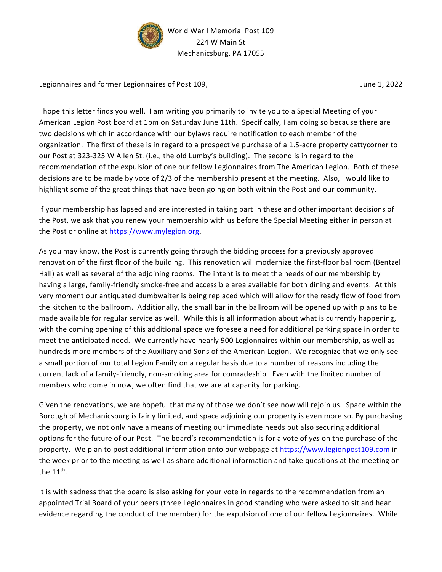

Legionnaires and former Legionnaires of Post 109, The Communication of the United States of Post 109, The Communication of Post 109, The Communication of Post 109, The Communication of the United States of Post 109, The Co

I hope this letter finds you well. I am writing you primarily to invite you to a Special Meeting of your American Legion Post board at 1pm on Saturday June 11th. Specifically, I am doing so because there are two decisions which in accordance with our bylaws require notification to each member of the organization. The first of these is in regard to a prospective purchase of a 1.5-acre property cattycorner to our Post at 323-325 W Allen St. (i.e., the old Lumby's building). The second is in regard to the recommendation of the expulsion of one our fellow Legionnaires from The American Legion. Both of these decisions are to be made by vote of 2/3 of the membership present at the meeting. Also, I would like to highlight some of the great things that have been going on both within the Post and our community.

If your membership has lapsed and are interested in taking part in these and other important decisions of the Post, we ask that you renew your membership with us before the Special Meeting either in person at the Post or online at https://www.mylegion.org.

As you may know, the Post is currently going through the bidding process for a previously approved renovation of the first floor of the building. This renovation will modernize the first-floor ballroom (Bentzel Hall) as well as several of the adjoining rooms. The intent is to meet the needs of our membership by having a large, family-friendly smoke-free and accessible area available for both dining and events. At this very moment our antiquated dumbwaiter is being replaced which will allow for the ready flow of food from the kitchen to the ballroom. Additionally, the small bar in the ballroom will be opened up with plans to be made available for regular service as well. While this is all information about what is currently happening, with the coming opening of this additional space we foresee a need for additional parking space in order to meet the anticipated need. We currently have nearly 900 Legionnaires within our membership, as well as hundreds more members of the Auxiliary and Sons of the American Legion. We recognize that we only see a small portion of our total Legion Family on a regular basis due to a number of reasons including the current lack of a family-friendly, non-smoking area for comradeship. Even with the limited number of members who come in now, we often find that we are at capacity for parking.

Given the renovations, we are hopeful that many of those we don't see now will rejoin us. Space within the Borough of Mechanicsburg is fairly limited, and space adjoining our property is even more so. By purchasing the property, we not only have a means of meeting our immediate needs but also securing additional options for the future of our Post. The board's recommendation is for a vote of yes on the purchase of the property. We plan to post additional information onto our webpage at https://www.legionpost109.com in the week prior to the meeting as well as share additional information and take questions at the meeting on the 11<sup>th</sup>.

It is with sadness that the board is also asking for your vote in regards to the recommendation from an appointed Trial Board of your peers (three Legionnaires in good standing who were asked to sit and hear evidence regarding the conduct of the member) for the expulsion of one of our fellow Legionnaires. While